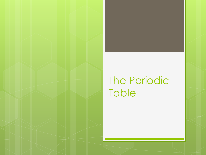## The Periodic **Table**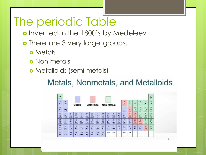# The periodic Table

- o Invented in the 1800's by Medeleev
- o There are 3 very large groups:
	- **o** Metals
	- **o** Non-metals
	- Metalloids (semi-metals)

#### Metals, Nonmetals, and Metalloids

| н<br><b>Holkigan</b>                  |                                     |                                |                                           |                                     |                                  |                                      |                              |                             |                                          |                            |                             |                               |                                 |                                          |                                             |                             | m.<br>œ.<br>He<br><b>Bullion</b> |
|---------------------------------------|-------------------------------------|--------------------------------|-------------------------------------------|-------------------------------------|----------------------------------|--------------------------------------|------------------------------|-----------------------------|------------------------------------------|----------------------------|-----------------------------|-------------------------------|---------------------------------|------------------------------------------|---------------------------------------------|-----------------------------|----------------------------------|
| т<br><b>Latitude</b>                  | m<br>Be<br><b>Bonding</b>           |                                | Metals                                    |                                     |                                  | Metalloids                           |                              |                             | Non-Metals                               |                            |                             | 3<br>B<br>See 11              | 6<br>Ċ<br><b>College</b>        | N<br><b>Not raint</b>                    | s<br>$\Omega$<br><b>Group</b>               | 廢<br>F<br>Former            | łй<br>Ne<br><b>Server</b>        |
| Ш<br>Na<br><b>Southwest</b>           | 12<br>Mg<br><b>Counterprises</b>    |                                |                                           |                                     |                                  |                                      |                              |                             |                                          |                            |                             | 13<br>Al<br><b>CONTRACTOR</b> | 14<br>Si<br><b>Silvers</b>      | 15<br>P<br><b>Thoughand</b>              | 16<br>s<br>School                           | 17<br>CI<br>Calaine         | 18<br>Ar<br>data                 |
| 19<br>к<br><b>Hydrogenet</b>          | 20<br>Ca<br><b>Cidation</b>         | 21<br>Se<br><b>To and well</b> | 22<br>m<br>Tourism                        | 23<br>v<br><b>Number</b>            | 24<br>Cr<br><b>Thompson</b>      | 25<br>Mn<br>Mangarow                 | 26<br>Fe<br><b>Book</b>      | 27<br>Сō<br><b>Kidsk</b>    | 28<br>Ni<br>NAMA                         | 29<br>Cu<br><b>Contact</b> | 30<br>Zn<br><b>Fax</b>      | 31<br>Ga<br>Kallins           | 32<br>Ge<br><b>Anti-America</b> | 33<br>As<br><b>Notes</b>                 | 34<br>Se<br><b><i><u>Subscripts</u></i></b> | 35<br>Br<br><b>Brown as</b> | 36<br>Kr<br><b>Econom</b>        |
| 37<br>Rb<br><b>Exhibit</b>            | 38<br>$S_{\rm T}$<br><b>Several</b> | 39<br>Y<br>Titing              | 40<br>Zr<br><b>Tennise</b>                | 41<br>Nb<br><b>Sidney</b>           | 42<br>Mo<br>Military             | 43<br>Te<br>Technician               | 44<br>Ru<br><b>Reference</b> | 45<br>Rh<br>Endnet          | 46<br>Pd<br><b>Tallahan</b>              | 47<br>Ag<br>Sing           | 48<br>Cd<br><b>Cultures</b> | 49<br>In<br>Industry          | 50<br>S <sub>n</sub><br>Tu.     | 51<br>Sh<br><b>Latinum</b>               | 52<br>Te<br><b>Links</b>                    | 53<br><b>Linkins</b>        | 54<br>Xe<br><b>Name</b>          |
| 55<br>C <sub>S</sub><br><b>Course</b> | 56<br>Ba<br>Barriott                | 57<br>La<br>Londones           | 72<br>Hf<br><b><i><u>Harbourn</u></i></b> | 73<br>Ta<br>Tuesday                 | 74<br>w<br>Tuesdown              | 75<br>Re<br><b><i>Africanone</i></b> | 76<br>Os<br><b>Chairman</b>  | 77<br>Ir<br><b>Williams</b> | 78<br>Pt<br><b><i><u>Flament</u></i></b> | 79<br>Au<br><b>GAL</b>     | 80<br>Hg<br>Mission         | 81<br>m<br><b>Thefaut</b>     | 82<br>Pb<br>Voted?              | 83<br>Bi<br><b><i><u>Simonsk</u></i></b> | 84<br>Po<br><b>Pullment</b>                 | 85<br>At<br><b>Europeia</b> | 86<br>Rm<br><b>Higher</b>        |
| 37<br>Fr<br>Testuran                  | 88<br>Ra<br><b>Madison</b>          | 89<br>Ac<br>Automotive         | 104<br>Rf<br><b>Extentionlyin</b>         | 105<br>Db<br><b>The Real Former</b> | 106<br>Sg<br><b>North report</b> | 107<br>Bh<br><b>Building</b>         | 108<br>Hs<br><b>Planner</b>  | 109<br>Mt<br>Milenous       | 110                                      | 111                        | 112                         | 113                           | 114                             |                                          |                                             |                             |                                  |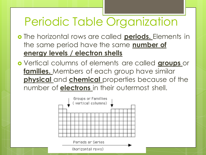# Periodic Table Organization

- The horizontal rows are called **periods.** Elements in the same period have the same **number of energy levels / electron shells**
- Vertical columns of elements are called **groups** or **families.** Members of each group have similar **physical** and **chemical** properties because of the number of **electrons** in their outermost shell.

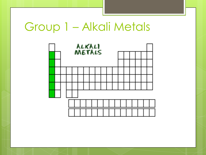## Group 1 – Alkali Metals

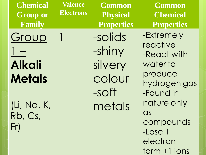| <b>Chemical</b><br><b>Group or</b><br>Family | Valence<br><b>Electrons</b> | <b>Common</b><br><b>Physical</b><br><b>Properties</b> | <b>Common</b><br><b>Chemical</b><br><b>Properties</b>                    |
|----------------------------------------------|-----------------------------|-------------------------------------------------------|--------------------------------------------------------------------------|
| Group                                        |                             | -solids<br>-shiny                                     | -Extremely<br>reactive<br>-React with                                    |
| <b>Alkali</b><br><b>Metals</b>               |                             | silvery<br>colour<br>-soft                            | water to<br>produce<br>hydrogen gas<br>-Found in                         |
| (Li, Na, K,<br>Rb, Cs,<br>Fr)                |                             | metals                                                | nature only<br>as<br>compounds<br>-Lose 1<br>electron<br>$form + 1 ions$ |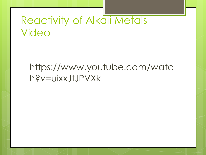### Reactivity of Alkali Metals Video

#### https://www.youtube.com/watc h?v=uixxJtJPVXk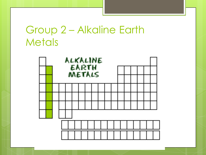### Group 2 – Alkaline Earth **Metals**

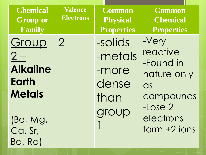| <b>Chemical</b><br><b>Group or</b><br>Family                                                        | <b>Valence</b><br><b>Electrons</b> | <b>Common</b><br><b>Physical</b><br><b>Properties</b> | <b>Common</b><br><b>Chemical</b><br><b>Properties</b>                                                        |
|-----------------------------------------------------------------------------------------------------|------------------------------------|-------------------------------------------------------|--------------------------------------------------------------------------------------------------------------|
| Group<br>$2-$<br><b>Alkaline</b><br><b>Earth</b><br><b>Metals</b><br>(Be, Mg,<br>Ca, Sr,<br>Ba, Ra) | $\overline{2}$                     | -solids<br>-metals<br>-more<br>dense<br>than<br>group | -Very<br>reactive<br>-Found in<br>nature only<br>as<br>compounds<br>$-Lose2$<br>electrons<br>$form + 2 ions$ |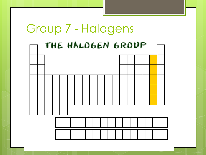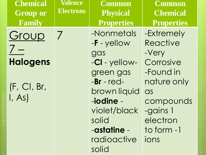| <b>Chemical</b><br><b>Group or</b><br>Family | <b>Valence</b><br><b>Electrons</b> | <b>Common</b><br><b>Physical</b><br><b>Properties</b>                                                                            | <b>Common</b><br><b>Chemical</b><br><b>Properties</b>                                     |
|----------------------------------------------|------------------------------------|----------------------------------------------------------------------------------------------------------------------------------|-------------------------------------------------------------------------------------------|
| Group<br><b>Halogens</b>                     | $\overline{\phantom{a}}$           | -Nonmetals<br>$-F$ - yellow<br>gas                                                                                               | -Extremely<br>Reactive<br>-Very<br>Corrosive                                              |
| (F, CI, Br,<br>I, As                         |                                    | -CI - yellow-<br>green gas<br>$-Br$ - $red-$<br>brown liquid<br>-iodine -<br>violet/black<br>solid<br>-astatine -<br>radioactive | -Found in<br>nature only<br>as<br>compounds<br>-gains 1<br>electron<br>to form -1<br>ions |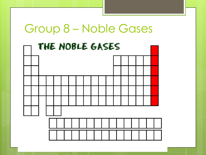#### Group 8 – Noble Gases

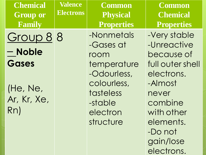| <b>Chemical</b><br><b>Group or</b><br>Family | <b>Valence</b><br><b>Electrons</b> | <b>Common</b><br><b>Physical</b><br><b>Properties</b>                                      | <b>Common</b><br><b>Chemical</b><br><b>Properties</b>                                                            |
|----------------------------------------------|------------------------------------|--------------------------------------------------------------------------------------------|------------------------------------------------------------------------------------------------------------------|
| Group 8 8<br>- Noble                         |                                    | -Nonmetals<br>-Gases at<br>room                                                            | -Very stable<br>-Unreactive<br>because of                                                                        |
| Gases<br>(He, Ne,<br>Ar, Kr, Xe,<br>Rn)      |                                    | temperature<br>-Odourless,<br>colourless,<br>tasteless<br>-stable<br>electron<br>structure | full outer shell<br>electrons.<br>-Almost<br>never<br>combine<br>with other<br>elements.<br>-Do not<br>gain/lose |

electrons.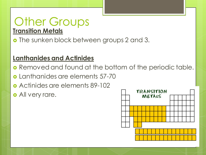#### Other Groups **Transition Metals**

**o** The sunken block between groups 2 and 3.

#### **Lanthanides and Actinides**

- **o** Removed and found at the bottom of the periodic table.
- Lanthanides are elements 57-70
- Actinides are elements 89-102
- **o** All very rare.

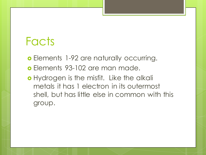## Facts

**o** Elements 1-92 are naturally occurring.

- Elements 93-102 are man made.
- o Hydrogen is the misfit. Like the alkali metals it has 1 electron in its outermost shell, but has little else in common with this group.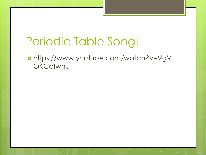# Periodic Table Song!

 https://www.youtube.com/watch?v=VgV QKCcfwnU